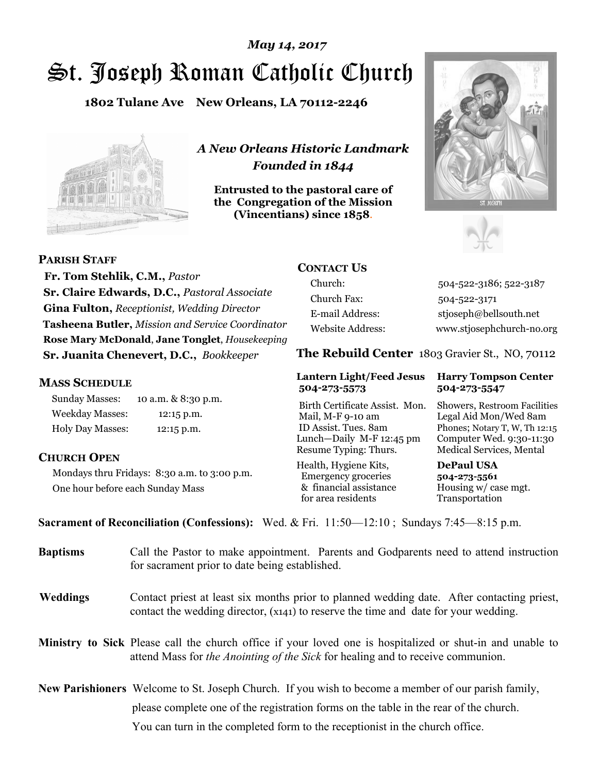# St. Joseph Roman Catholic Church *May 14, 2017*

**1802 Tulane Ave New Orleans, LA 70112-2246**



*A New Orleans Historic Landmark Founded in 1844* 

**Entrusted to the pastoral care of the Congregation of the Mission (Vincentians) since 1858**.





**PARISH STAFF**

 **Fr. Tom Stehlik, C.M.,** *Pastor* **Sr. Claire Edwards, D.C.,** *Pastoral Associate* **Gina Fulton,** *Receptionist, Wedding Director* **Tasheena Butler,** *Mission and Service Coordinator* **Rose Mary McDonald**, **Jane Tonglet**, *Housekeeping* **Sr. Juanita Chenevert, D.C.,** *Bookkeeper* 

### **MASS SCHEDULE**

Sunday Masses: 10 a.m. & 8:30 p.m. Weekday Masses: 12:15 p.m. Holy Day Masses: 12:15 p.m.

# **CHURCH OPEN**

Mondays thru Fridays: 8:30 a.m. to 3:00 p.m. One hour before each Sunday Mass

# **CONTACT US**

Church: 504-522-3186; 522-3187 Church Fax: 504-522-3171 E-mail Address: stjoseph@bellsouth.net Website Address: www.stjosephchurch-no.org

**The Rebuild Center** 1803 Gravier St., NO, 70112

#### **Lantern Light/Feed Jesus Harry Tompson Center 504-273-5573 504-273-5547**

Birth Certificate Assist. Mon. Showers, Restroom Facilities Mail, M-F 9-10 am Legal Aid Mon/Wed 8am ID Assist. Tues. 8am Phones; Notary T, W, Th 12:15 Lunch—Daily M-F 12:45 pm Computer Wed. 9:30-11:30 Resume Typing: Thurs. Medical Services, Mental

Health, Hygiene Kits, **DePaul USA**  Emergency groceries **504-273-5561** & financial assistance Housing w/ case mgt. for area residents Transportation

**Sacrament of Reconciliation (Confessions):** Wed. & Fri. 11:50—12:10 ; Sundays 7:45—8:15 p.m.

| <b>Baptisms</b> | Call the Pastor to make appointment. Parents and Godparents need to attend instruction<br>for sacrament prior to date being established.                                                            |
|-----------------|-----------------------------------------------------------------------------------------------------------------------------------------------------------------------------------------------------|
| <b>Weddings</b> | Contact priest at least six months prior to planned wedding date. After contacting priest,<br>contact the wedding director, (x141) to reserve the time and date for your wedding.                   |
|                 | <b>Ministry to Sick</b> Please call the church office if your loved one is hospitalized or shut-in and unable to<br>attend Mass for the Anointing of the Sick for healing and to receive communion. |
|                 | <b>New Parishioners</b> Welcome to St. Joseph Church. If you wish to become a member of our parish family,                                                                                          |
|                 | please complete one of the registration forms on the table in the rear of the church.                                                                                                               |
|                 | You can turn in the completed form to the reception is the church office.                                                                                                                           |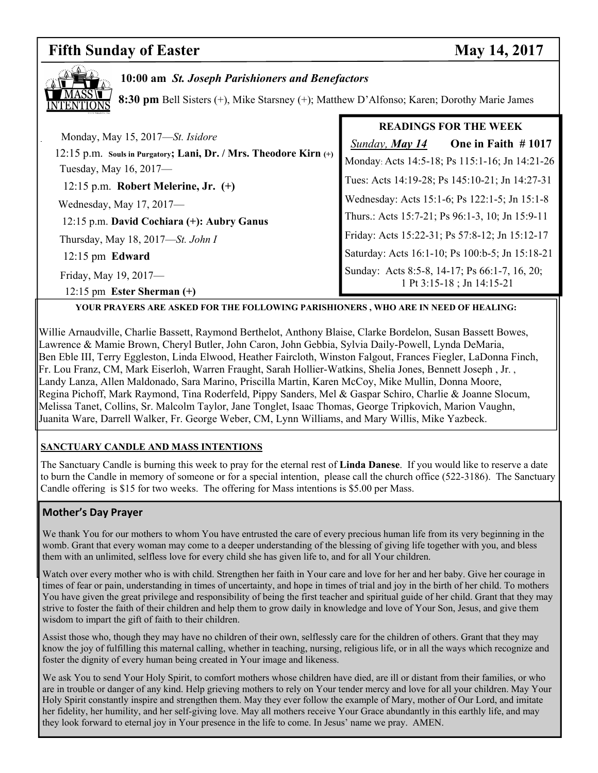#### **Fifth Sunday of Easter May 14, 2017**



### **10:00 am** *St. Joseph Parishioners and Benefactors*

**8:30 pm** Bell Sisters (+), Mike Starsney (+); Matthew D'Alfonso; Karen; Dorothy Marie James

|                                                                       | <b>READINGS FOR THE WEEK</b>                    |  |
|-----------------------------------------------------------------------|-------------------------------------------------|--|
| Monday, May 15, 2017—St. Isidore                                      | One in Faith $#1017$<br>Sunday, <b>May 14</b>   |  |
| $12:15$ p.m. Souls in Purgatory; Lani, Dr. / Mrs. Theodore Kirn $(+)$ | Monday: Acts 14:5-18; Ps 115:1-16; Jn 14:21-26  |  |
| Tuesday, May 16, 2017-                                                |                                                 |  |
| 12:15 p.m. Robert Melerine, Jr. $(+)$                                 | Tues: Acts 14:19-28; Ps 145:10-21; Jn 14:27-31  |  |
| Wednesday, May 17, 2017-                                              | Wednesday: Acts 15:1-6; Ps 122:1-5; Jn 15:1-8   |  |
| 12:15 p.m. David Cochiara (+): Aubry Ganus                            | Thurs.: Acts 15:7-21; Ps 96:1-3, 10; Jn 15:9-11 |  |
| Thursday, May 18, 2017—St. John I                                     | Friday: Acts 15:22-31; Ps 57:8-12; Jn 15:12-17  |  |
| $12:15 \text{ pm}$ Edward                                             | Saturday: Acts 16:1-10; Ps 100:b-5; Jn 15:18-21 |  |
| Friday, May 19, 2017-                                                 | Sunday: Acts 8:5-8, 14-17; Ps 66:1-7, 16, 20;   |  |
| 12:15 pm Ester Sherman $(+)$                                          | 1 Pt 3:15-18 ; Jn 14:15-21                      |  |

**YOUR PRAYERS ARE ASKED FOR THE FOLLOWING PARISHIONERS , WHO ARE IN NEED OF HEALING:** 

Willie Arnaudville, Charlie Bassett, Raymond Berthelot, Anthony Blaise, Clarke Bordelon, Susan Bassett Bowes, Lawrence & Mamie Brown, Cheryl Butler, John Caron, John Gebbia, Sylvia Daily-Powell, Lynda DeMaria, Ben Eble III, Terry Eggleston, Linda Elwood, Heather Faircloth, Winston Falgout, Frances Fiegler, LaDonna Finch, Fr. Lou Franz, CM, Mark Eiserloh, Warren Fraught, Sarah Hollier-Watkins, Shelia Jones, Bennett Joseph , Jr. , Landy Lanza, Allen Maldonado, Sara Marino, Priscilla Martin, Karen McCoy, Mike Mullin, Donna Moore, Regina Pichoff, Mark Raymond, Tina Roderfeld, Pippy Sanders, Mel & Gaspar Schiro, Charlie & Joanne Slocum, Melissa Tanet, Collins, Sr. Malcolm Taylor, Jane Tonglet, Isaac Thomas, George Tripkovich, Marion Vaughn, Juanita Ware, Darrell Walker, Fr. George Weber, CM, Lynn Williams, and Mary Willis, Mike Yazbeck.

#### **SANCTUARY CANDLE AND MASS INTENTIONS**

The Sanctuary Candle is burning this week to pray for the eternal rest of **Linda Danese**. If you would like to reserve a date to burn the Candle in memory of someone or for a special intention, please call the church office (522-3186). The Sanctuary Candle offering is \$15 for two weeks. The offering for Mass intentions is \$5.00 per Mass.

#### **Mother's Day Prayer**

We thank You for our mothers to whom You have entrusted the care of every precious human life from its very beginning in the womb. Grant that every woman may come to a deeper understanding of the blessing of giving life together with you, and bless them with an unlimited, selfless love for every child she has given life to, and for all Your children.

Watch over every mother who is with child. Strengthen her faith in Your care and love for her and her baby. Give her courage in times of fear or pain, understanding in times of uncertainty, and hope in times of trial and joy in the birth of her child. To mothers You have given the great privilege and responsibility of being the first teacher and spiritual guide of her child. Grant that they may strive to foster the faith of their children and help them to grow daily in knowledge and love of Your Son, Jesus, and give them wisdom to impart the gift of faith to their children.

Assist those who, though they may have no children of their own, selflessly care for the children of others. Grant that they may know the joy of fulfilling this maternal calling, whether in teaching, nursing, religious life, or in all the ways which recognize and foster the dignity of every human being created in Your image and likeness.

We ask You to send Your Holy Spirit, to comfort mothers whose children have died, are ill or distant from their families, or who are in trouble or danger of any kind. Help grieving mothers to rely on Your tender mercy and love for all your children. May Your Holy Spirit constantly inspire and strengthen them. May they ever follow the example of Mary, mother of Our Lord, and imitate her fidelity, her humility, and her self-giving love. May all mothers receive Your Grace abundantly in this earthly life, and may they look forward to eternal joy in Your presence in the life to come. In Jesus' name we pray. AMEN.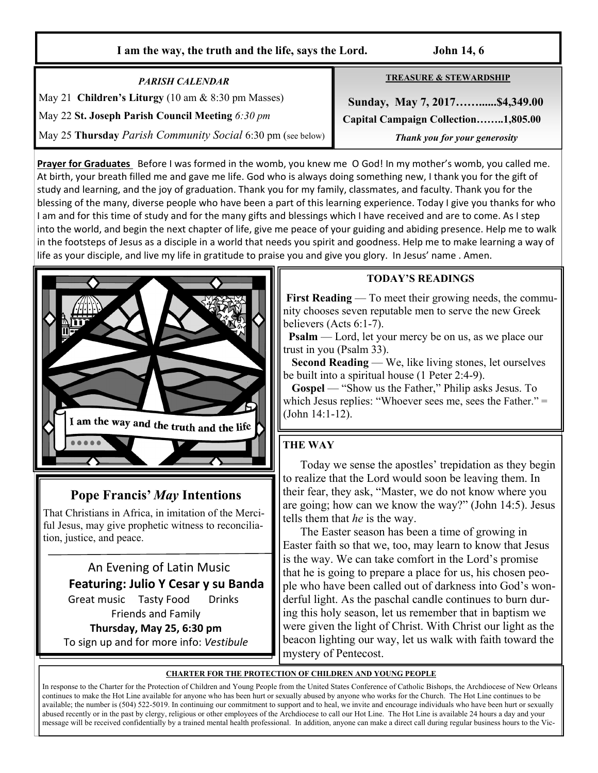#### **I am the way, the truth and the life, says the Lord. John 14, 6**

*PARISH CALENDAR*  May 21 **Children's Liturgy** (10 am & 8:30 pm Masses) May 22 **St. Joseph Parish Council Meeting** *6:30 pm* May 25 **Thursday** *Parish Community Social* 6:30 pm (see below) **TREASURE & STEWARDSHIP**

 **Sunday, May 7, 2017……......\$4,349.00 Capital Campaign Collection……..1,805.00** *Thank you for your generosity* 

**Prayer for Graduates** Before I was formed in the womb, you knew me O God! In my mother's womb, you called me. At birth, your breath filled me and gave me life. God who is always doing something new, I thank you for the gift of study and learning, and the joy of graduation. Thank you for my family, classmates, and faculty. Thank you for the blessing of the many, diverse people who have been a part of this learning experience. Today I give you thanks for who I am and for this time of study and for the many gifts and blessings which I have received and are to come. As I step into the world, and begin the next chapter of life, give me peace of your guiding and abiding presence. Help me to walk in the footsteps of Jesus as a disciple in a world that needs you spirit and goodness. Help me to make learning a way of life as your disciple, and live my life in gratitude to praise you and give you glory. In Jesus' name . Amen.



# **Pope Francis'** *May* **Intentions**

That Christians in Africa, in imitation of the Merciful Jesus, may give prophetic witness to reconciliation, justice, and peace.

 An Evening of Latin Music **Featuring: Julio Y Cesar y su Banda** Great music Tasty Food Drinks Friends and Family **Thursday, May 25, 6:30 pm**  To sign up and for more info: *Vestibule* 

#### **TODAY'S READINGS**

**First Reading** — To meet their growing needs, the community chooses seven reputable men to serve the new Greek believers (Acts 6:1-7).

**Psalm** — Lord, let your mercy be on us, as we place our trust in you (Psalm 33).

**Second Reading** — We, like living stones, let ourselves be built into a spiritual house (1 Peter 2:4-9).

 **Gospel** — "Show us the Father," Philip asks Jesus. To which Jesus replies: "Whoever sees me, sees the Father." = (John 14:1-12).

# **THE WAY**

 Today we sense the apostles' trepidation as they begin to realize that the Lord would soon be leaving them. In their fear, they ask, "Master, we do not know where you are going; how can we know the way?" (John 14:5). Jesus tells them that *he* is the way.

 The Easter season has been a time of growing in Easter faith so that we, too, may learn to know that Jesus is the way. We can take comfort in the Lord's promise that he is going to prepare a place for us, his chosen people who have been called out of darkness into God's wonderful light. As the paschal candle continues to burn during this holy season, let us remember that in baptism we were given the light of Christ. With Christ our light as the beacon lighting our way, let us walk with faith toward the mystery of Pentecost.

#### **CHARTER FOR THE PROTECTION OF CHILDREN AND YOUNG PEOPLE**

In response to the Charter for the Protection of Children and Young People from the United States Conference of Catholic Bishops, the Archdiocese of New Orleans continues to make the Hot Line available for anyone who has been hurt or sexually abused by anyone who works for the Church. The Hot Line continues to be available; the number is (504) 522-5019. In continuing our commitment to support and to heal, we invite and encourage individuals who have been hurt or sexually abused recently or in the past by clergy, religious or other employees of the Archdiocese to call our Hot Line. The Hot Line is available 24 hours a day and your message will be received confidentially by a trained mental health professional. In addition, anyone can make a direct call during regular business hours to the Vic-